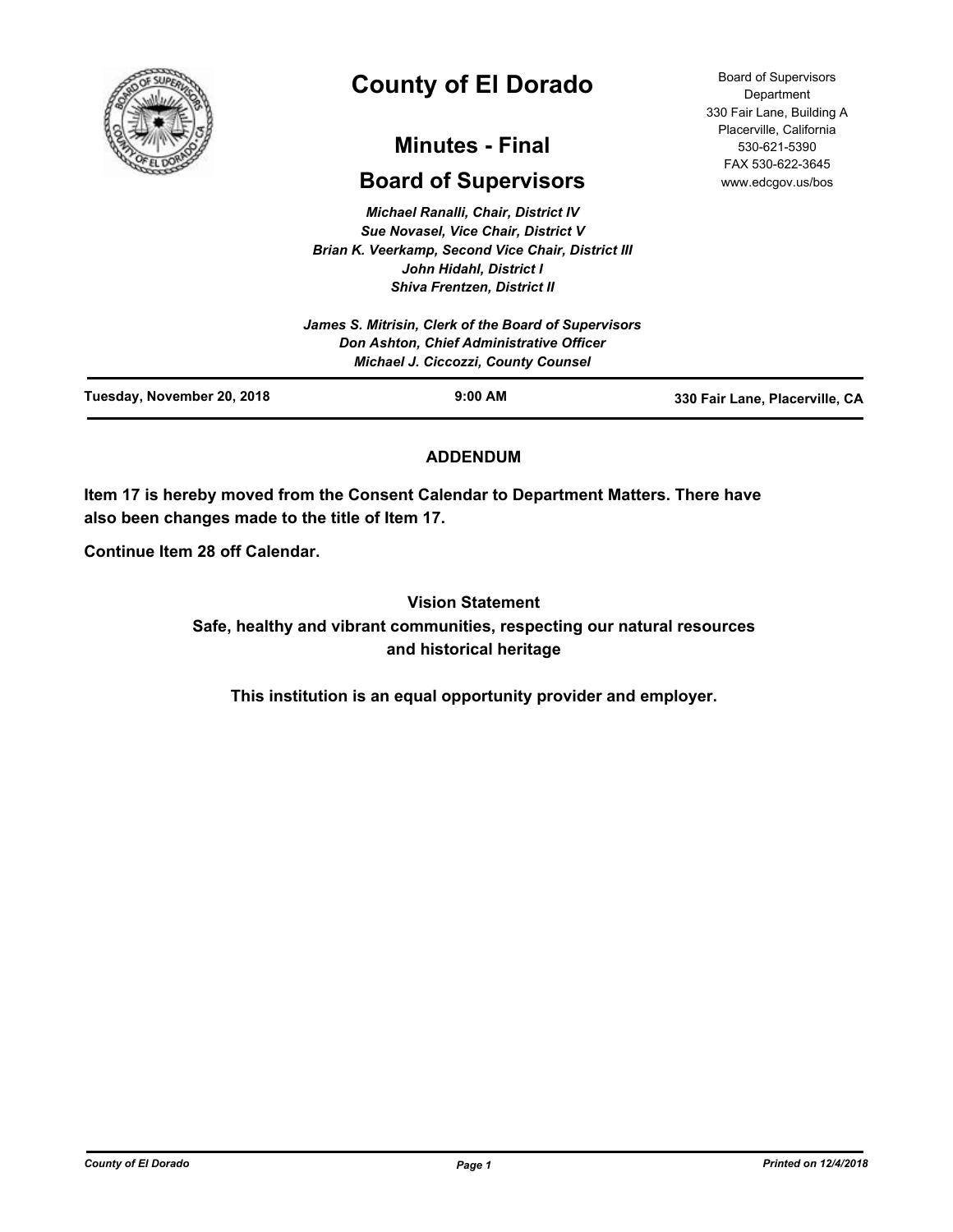

# **County of El Dorado**

# **Minutes - Final**

# **Board of Supervisors**

*Michael Ranalli, Chair, District IV Sue Novasel, Vice Chair, District V Brian K. Veerkamp, Second Vice Chair, District III John Hidahl, District I Shiva Frentzen, District II*

# **ADDENDUM**

**Item 17 is hereby moved from the Consent Calendar to Department Matters. There have also been changes made to the title of Item 17.**

**Continue Item 28 off Calendar.**

**Vision Statement Safe, healthy and vibrant communities, respecting our natural resources and historical heritage**

**This institution is an equal opportunity provider and employer.**

Board of Supervisors **Department** 330 Fair Lane, Building A Placerville, California 530-621-5390 FAX 530-622-3645 www.edcgov.us/bos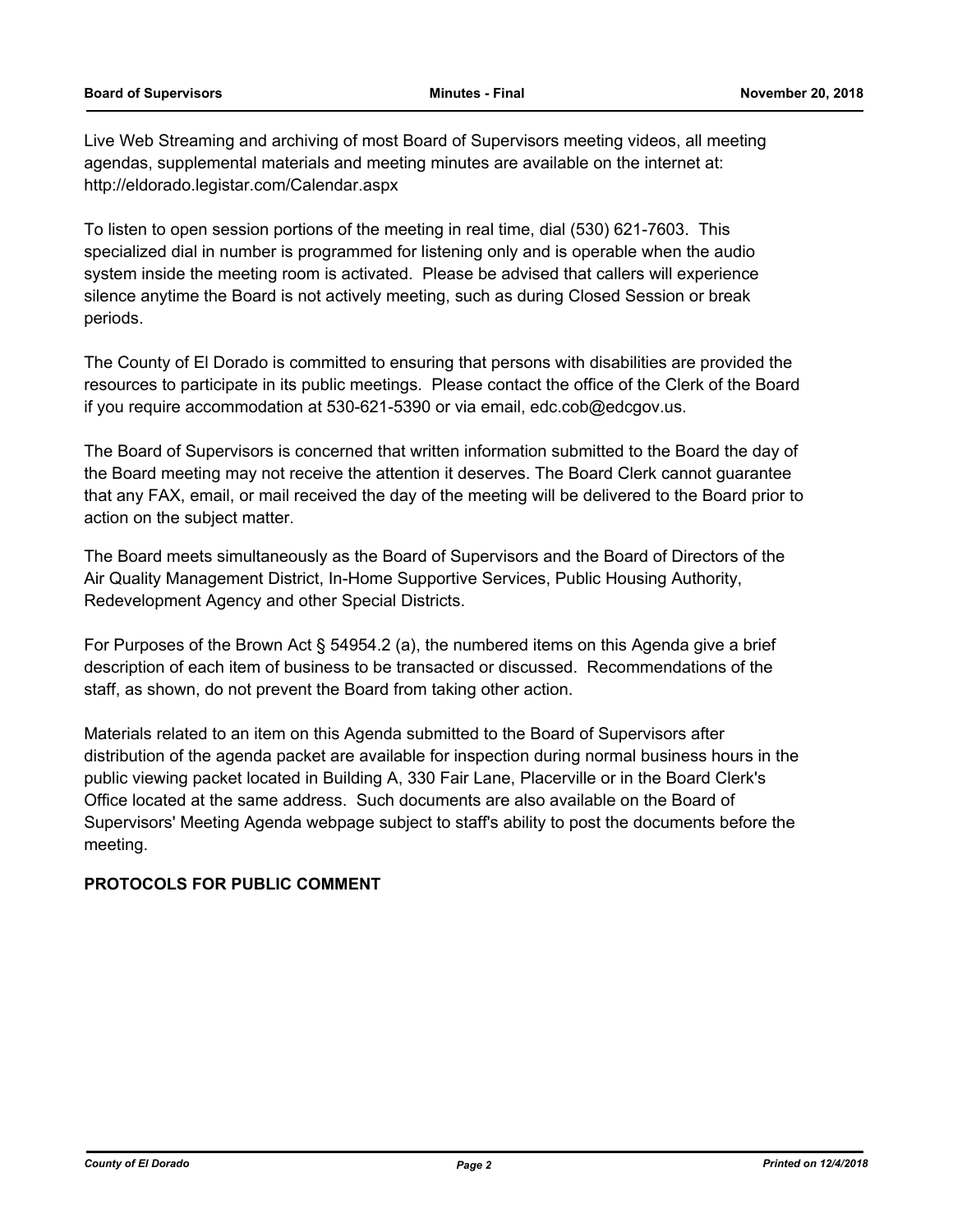Live Web Streaming and archiving of most Board of Supervisors meeting videos, all meeting agendas, supplemental materials and meeting minutes are available on the internet at: http://eldorado.legistar.com/Calendar.aspx

To listen to open session portions of the meeting in real time, dial (530) 621-7603. This specialized dial in number is programmed for listening only and is operable when the audio system inside the meeting room is activated. Please be advised that callers will experience silence anytime the Board is not actively meeting, such as during Closed Session or break periods.

The County of El Dorado is committed to ensuring that persons with disabilities are provided the resources to participate in its public meetings. Please contact the office of the Clerk of the Board if you require accommodation at 530-621-5390 or via email, edc.cob@edcgov.us.

The Board of Supervisors is concerned that written information submitted to the Board the day of the Board meeting may not receive the attention it deserves. The Board Clerk cannot guarantee that any FAX, email, or mail received the day of the meeting will be delivered to the Board prior to action on the subject matter.

The Board meets simultaneously as the Board of Supervisors and the Board of Directors of the Air Quality Management District, In-Home Supportive Services, Public Housing Authority, Redevelopment Agency and other Special Districts.

For Purposes of the Brown Act § 54954.2 (a), the numbered items on this Agenda give a brief description of each item of business to be transacted or discussed. Recommendations of the staff, as shown, do not prevent the Board from taking other action.

Materials related to an item on this Agenda submitted to the Board of Supervisors after distribution of the agenda packet are available for inspection during normal business hours in the public viewing packet located in Building A, 330 Fair Lane, Placerville or in the Board Clerk's Office located at the same address. Such documents are also available on the Board of Supervisors' Meeting Agenda webpage subject to staff's ability to post the documents before the meeting.

# **PROTOCOLS FOR PUBLIC COMMENT**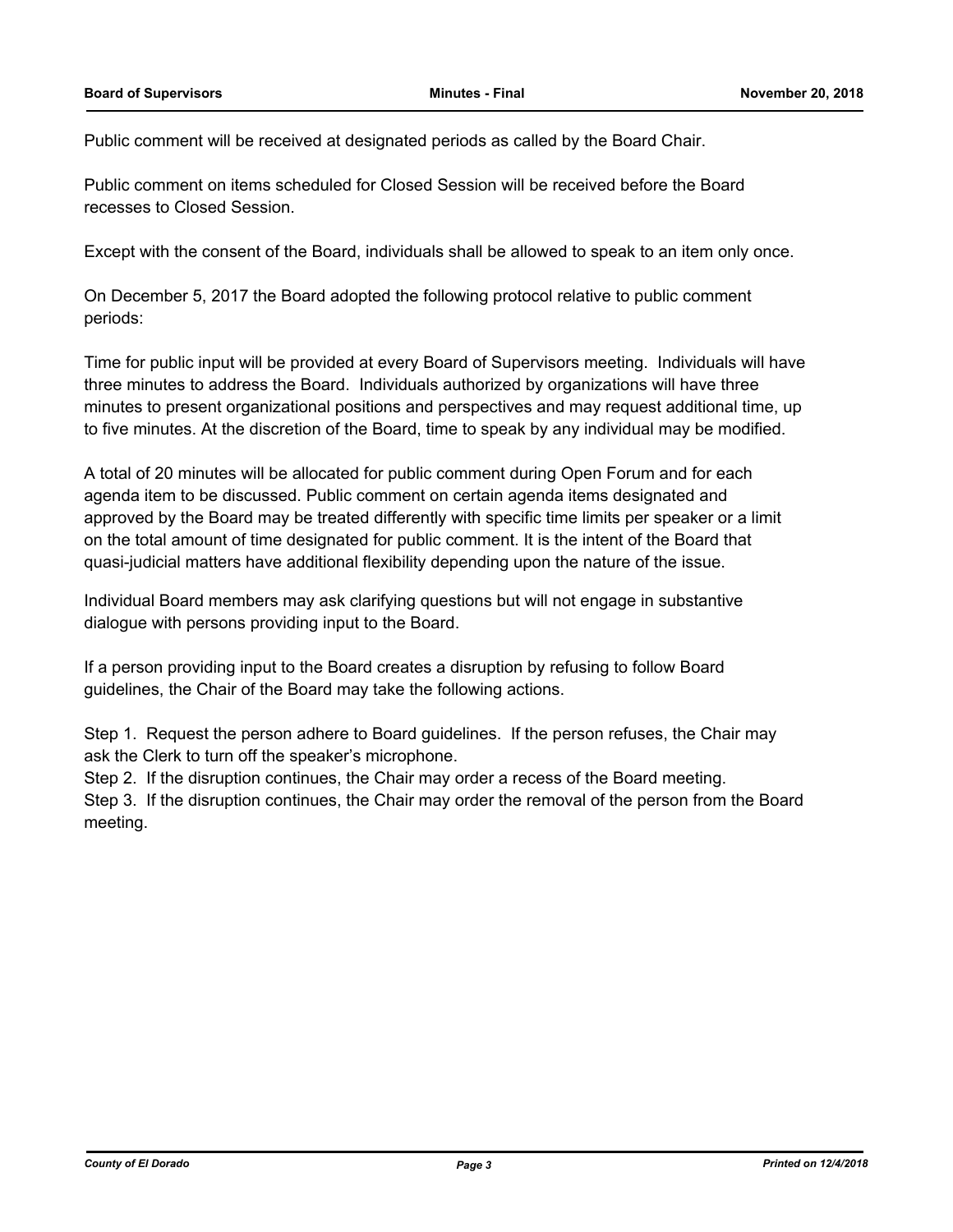Public comment will be received at designated periods as called by the Board Chair.

Public comment on items scheduled for Closed Session will be received before the Board recesses to Closed Session.

Except with the consent of the Board, individuals shall be allowed to speak to an item only once.

On December 5, 2017 the Board adopted the following protocol relative to public comment periods:

Time for public input will be provided at every Board of Supervisors meeting. Individuals will have three minutes to address the Board. Individuals authorized by organizations will have three minutes to present organizational positions and perspectives and may request additional time, up to five minutes. At the discretion of the Board, time to speak by any individual may be modified.

A total of 20 minutes will be allocated for public comment during Open Forum and for each agenda item to be discussed. Public comment on certain agenda items designated and approved by the Board may be treated differently with specific time limits per speaker or a limit on the total amount of time designated for public comment. It is the intent of the Board that quasi-judicial matters have additional flexibility depending upon the nature of the issue.

Individual Board members may ask clarifying questions but will not engage in substantive dialogue with persons providing input to the Board.

If a person providing input to the Board creates a disruption by refusing to follow Board guidelines, the Chair of the Board may take the following actions.

Step 1. Request the person adhere to Board guidelines. If the person refuses, the Chair may ask the Clerk to turn off the speaker's microphone.

Step 2. If the disruption continues, the Chair may order a recess of the Board meeting.

Step 3. If the disruption continues, the Chair may order the removal of the person from the Board meeting.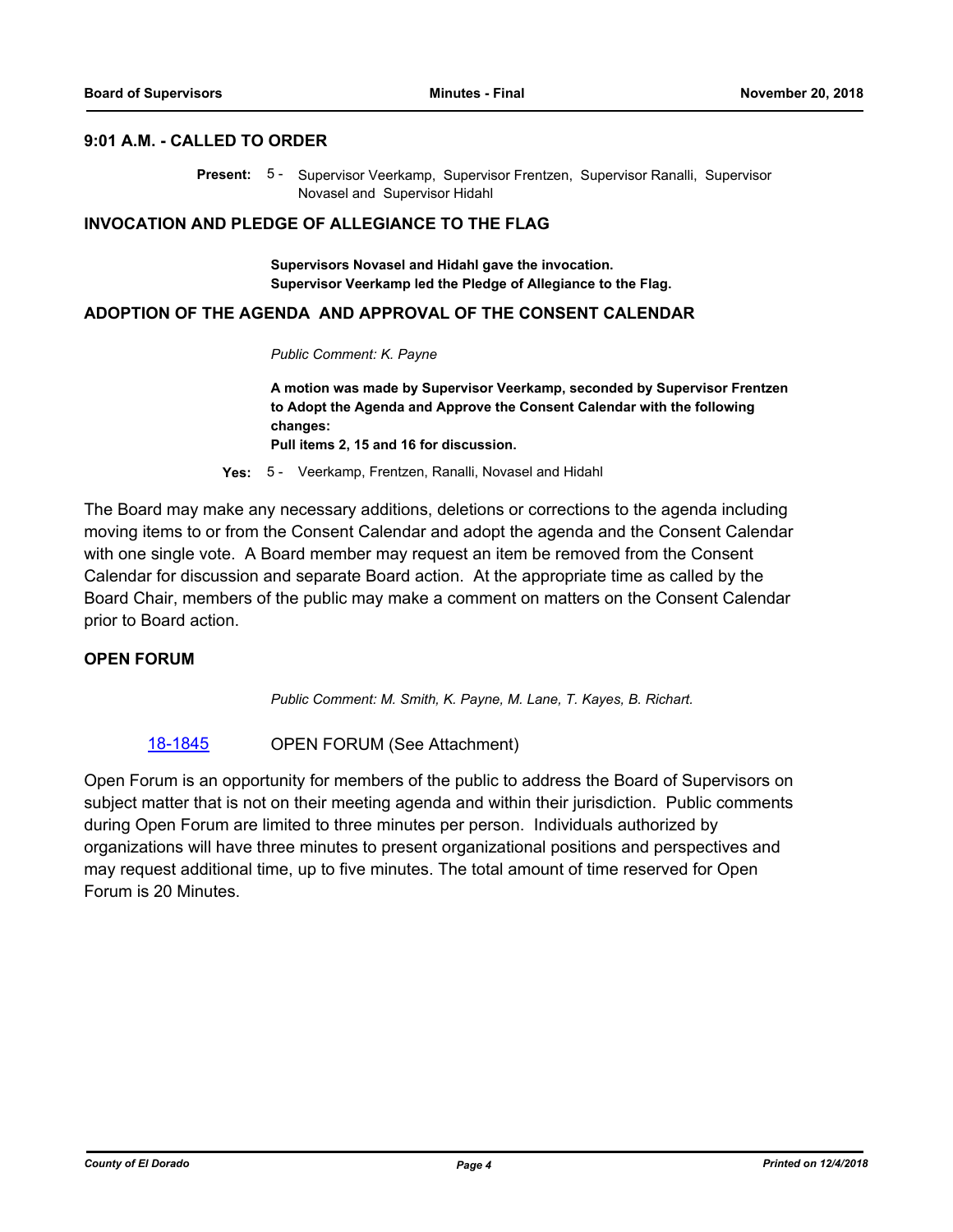#### **9:01 A.M. - CALLED TO ORDER**

Present: 5 - Supervisor Veerkamp, Supervisor Frentzen, Supervisor Ranalli, Supervisor Novasel and Supervisor Hidahl

#### **INVOCATION AND PLEDGE OF ALLEGIANCE TO THE FLAG**

**Supervisors Novasel and Hidahl gave the invocation. Supervisor Veerkamp led the Pledge of Allegiance to the Flag.**

#### **ADOPTION OF THE AGENDA AND APPROVAL OF THE CONSENT CALENDAR**

*Public Comment: K. Payne*

**A motion was made by Supervisor Veerkamp, seconded by Supervisor Frentzen to Adopt the Agenda and Approve the Consent Calendar with the following changes: Pull items 2, 15 and 16 for discussion.**

**Yes:** 5 - Veerkamp, Frentzen, Ranalli, Novasel and Hidahl

The Board may make any necessary additions, deletions or corrections to the agenda including moving items to or from the Consent Calendar and adopt the agenda and the Consent Calendar with one single vote. A Board member may request an item be removed from the Consent Calendar for discussion and separate Board action. At the appropriate time as called by the Board Chair, members of the public may make a comment on matters on the Consent Calendar prior to Board action.

# **OPEN FORUM**

*Public Comment: M. Smith, K. Payne, M. Lane, T. Kayes, B. Richart.*

[18-1845](http://eldorado.legistar.com/gateway.aspx?m=l&id=/matter.aspx?key=25195) **OPEN FORUM** (See Attachment)

Open Forum is an opportunity for members of the public to address the Board of Supervisors on subject matter that is not on their meeting agenda and within their jurisdiction. Public comments during Open Forum are limited to three minutes per person. Individuals authorized by organizations will have three minutes to present organizational positions and perspectives and may request additional time, up to five minutes. The total amount of time reserved for Open Forum is 20 Minutes.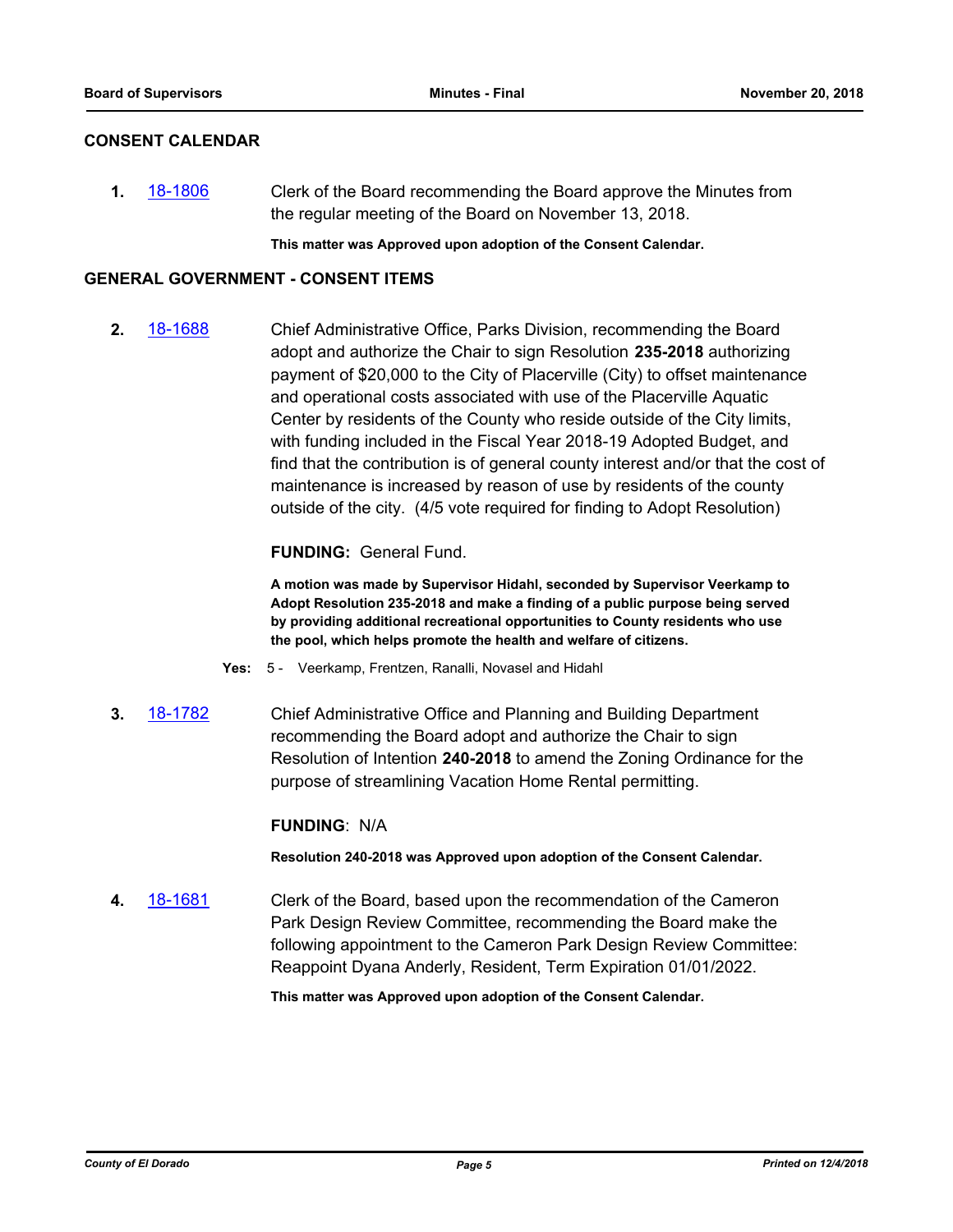# **CONSENT CALENDAR**

**1.** [18-1806](http://eldorado.legistar.com/gateway.aspx?m=l&id=/matter.aspx?key=25157) Clerk of the Board recommending the Board approve the Minutes from the regular meeting of the Board on November 13, 2018.

**This matter was Approved upon adoption of the Consent Calendar.**

### **GENERAL GOVERNMENT - CONSENT ITEMS**

**2.** [18-1688](http://eldorado.legistar.com/gateway.aspx?m=l&id=/matter.aspx?key=25039) Chief Administrative Office, Parks Division, recommending the Board adopt and authorize the Chair to sign Resolution **235-2018** authorizing payment of \$20,000 to the City of Placerville (City) to offset maintenance and operational costs associated with use of the Placerville Aquatic Center by residents of the County who reside outside of the City limits, with funding included in the Fiscal Year 2018-19 Adopted Budget, and find that the contribution is of general county interest and/or that the cost of maintenance is increased by reason of use by residents of the county outside of the city. (4/5 vote required for finding to Adopt Resolution)

# **FUNDING:** General Fund.

**A motion was made by Supervisor Hidahl, seconded by Supervisor Veerkamp to Adopt Resolution 235-2018 and make a finding of a public purpose being served by providing additional recreational opportunities to County residents who use the pool, which helps promote the health and welfare of citizens.**

- **Yes:** 5 Veerkamp, Frentzen, Ranalli, Novasel and Hidahl
- **3.** [18-1782](http://eldorado.legistar.com/gateway.aspx?m=l&id=/matter.aspx?key=25133) Chief Administrative Office and Planning and Building Department recommending the Board adopt and authorize the Chair to sign Resolution of Intention **240-2018** to amend the Zoning Ordinance for the purpose of streamlining Vacation Home Rental permitting.

#### **FUNDING**: N/A

**Resolution 240-2018 was Approved upon adoption of the Consent Calendar.**

**4.** [18-1681](http://eldorado.legistar.com/gateway.aspx?m=l&id=/matter.aspx?key=25032) Clerk of the Board, based upon the recommendation of the Cameron Park Design Review Committee, recommending the Board make the following appointment to the Cameron Park Design Review Committee: Reappoint Dyana Anderly, Resident, Term Expiration 01/01/2022.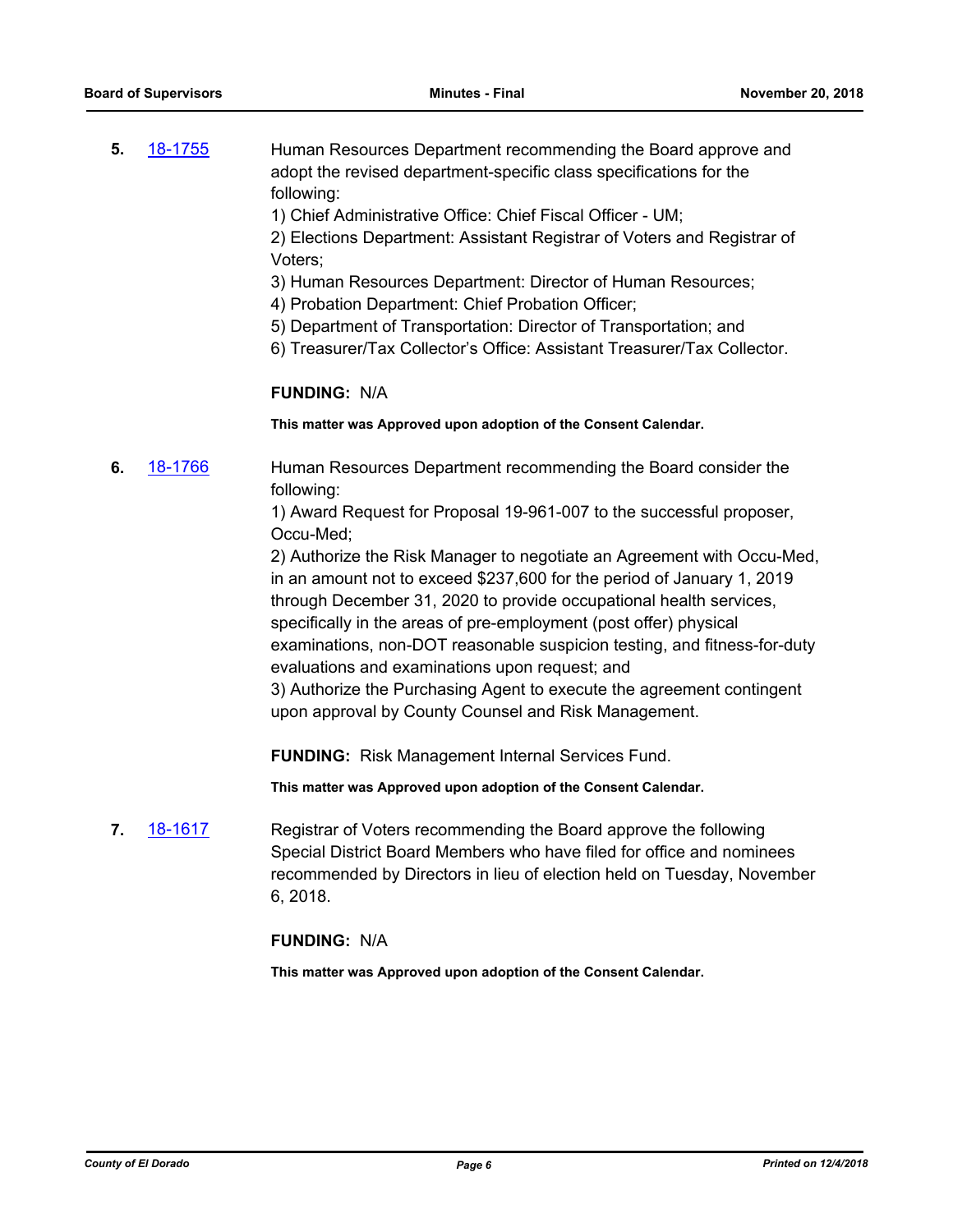- **5.** [18-1755](http://eldorado.legistar.com/gateway.aspx?m=l&id=/matter.aspx?key=25106) Human Resources Department recommending the Board approve and adopt the revised department-specific class specifications for the following:
	- 1) Chief Administrative Office: Chief Fiscal Officer UM;

2) Elections Department: Assistant Registrar of Voters and Registrar of Voters;

- 3) Human Resources Department: Director of Human Resources;
- 4) Probation Department: Chief Probation Officer;
- 5) Department of Transportation: Director of Transportation; and
- 6) Treasurer/Tax Collector's Office: Assistant Treasurer/Tax Collector.

### **FUNDING:** N/A

**This matter was Approved upon adoption of the Consent Calendar.**

**6.** [18-1766](http://eldorado.legistar.com/gateway.aspx?m=l&id=/matter.aspx?key=25117) Human Resources Department recommending the Board consider the following:

> 1) Award Request for Proposal 19-961-007 to the successful proposer, Occu-Med;

2) Authorize the Risk Manager to negotiate an Agreement with Occu-Med, in an amount not to exceed \$237,600 for the period of January 1, 2019 through December 31, 2020 to provide occupational health services, specifically in the areas of pre-employment (post offer) physical examinations, non-DOT reasonable suspicion testing, and fitness-for-duty evaluations and examinations upon request; and

3) Authorize the Purchasing Agent to execute the agreement contingent upon approval by County Counsel and Risk Management.

**FUNDING:** Risk Management Internal Services Fund.

**This matter was Approved upon adoption of the Consent Calendar.**

**7.** [18-1617](http://eldorado.legistar.com/gateway.aspx?m=l&id=/matter.aspx?key=24968) Registrar of Voters recommending the Board approve the following Special District Board Members who have filed for office and nominees recommended by Directors in lieu of election held on Tuesday, November 6, 2018.

# **FUNDING:** N/A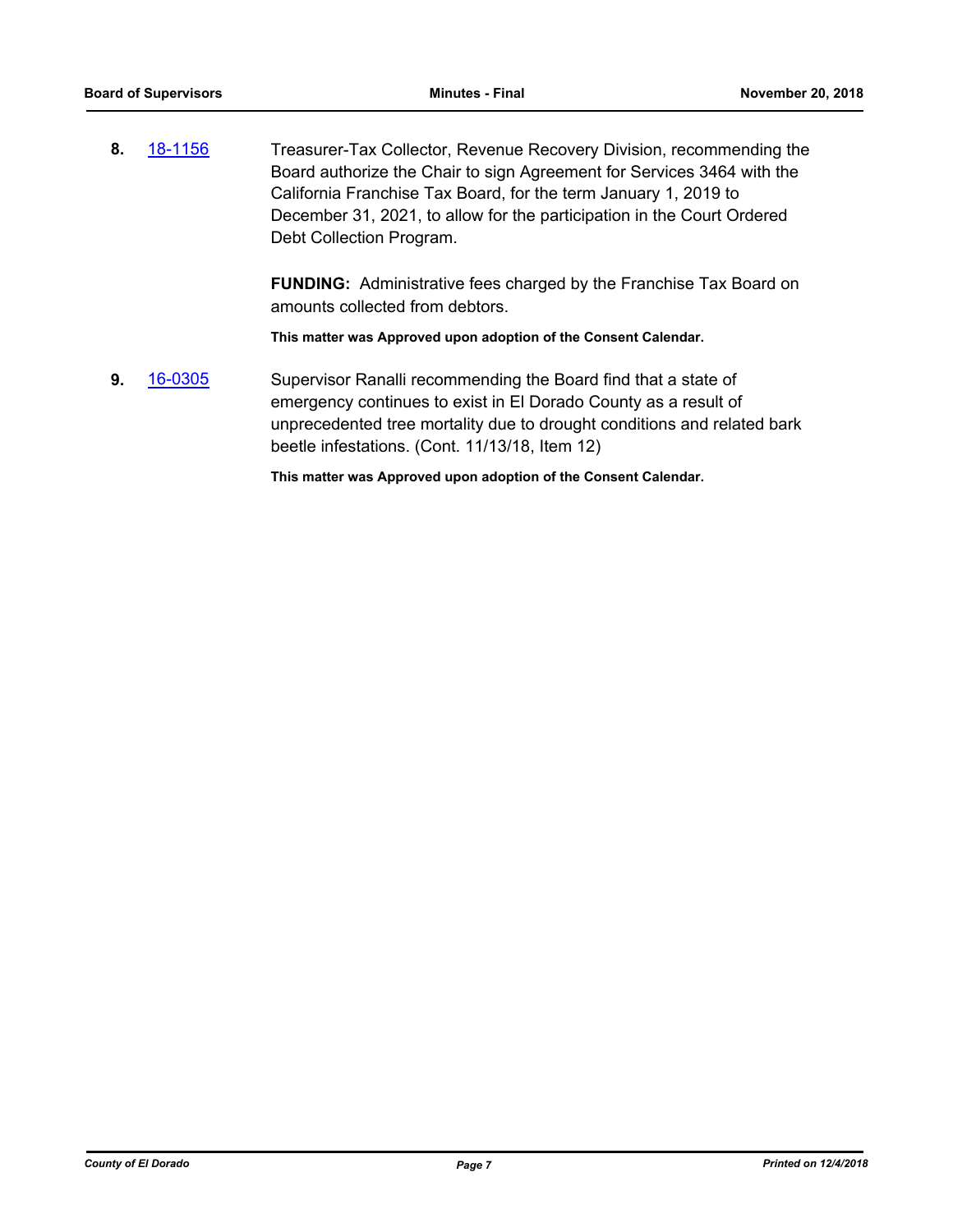**8.** [18-1156](http://eldorado.legistar.com/gateway.aspx?m=l&id=/matter.aspx?key=24506) Treasurer-Tax Collector, Revenue Recovery Division, recommending the Board authorize the Chair to sign Agreement for Services 3464 with the California Franchise Tax Board, for the term January 1, 2019 to December 31, 2021, to allow for the participation in the Court Ordered Debt Collection Program.

> **FUNDING:** Administrative fees charged by the Franchise Tax Board on amounts collected from debtors.

**This matter was Approved upon adoption of the Consent Calendar.**

**9.** [16-0305](http://eldorado.legistar.com/gateway.aspx?m=l&id=/matter.aspx?key=20961) Supervisor Ranalli recommending the Board find that a state of emergency continues to exist in El Dorado County as a result of unprecedented tree mortality due to drought conditions and related bark beetle infestations. (Cont. 11/13/18, Item 12)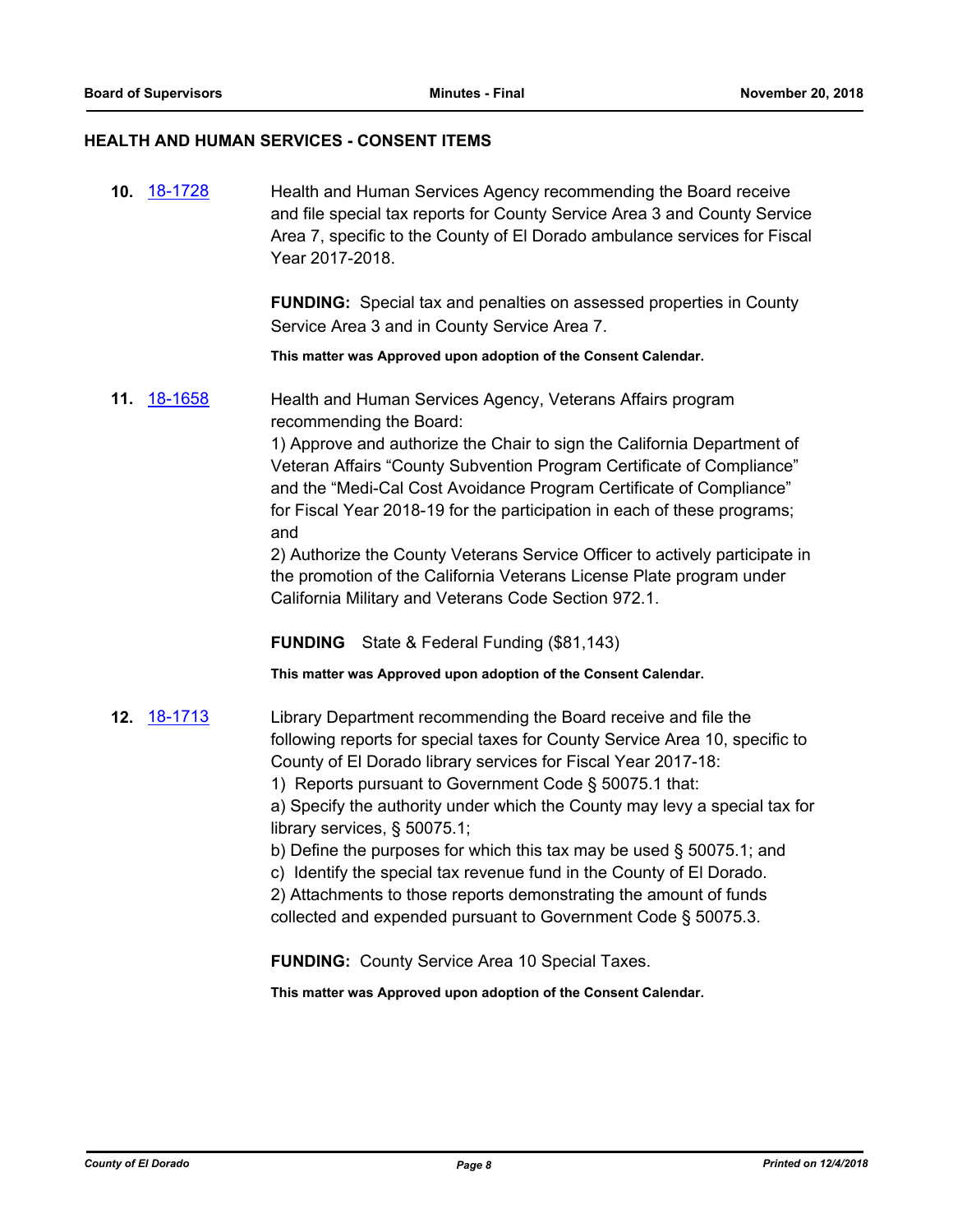# **HEALTH AND HUMAN SERVICES - CONSENT ITEMS**

| 10. 18-1728 | Health and Human Services Agency recommending the Board receive<br>and file special tax reports for County Service Area 3 and County Service<br>Area 7, specific to the County of El Dorado ambulance services for Fiscal<br>Year 2017-2018.<br><b>FUNDING:</b> Special tax and penalties on assessed properties in County<br>Service Area 3 and in County Service Area 7.                                                                                                                                                                                                                                                                                                                                                                    |
|-------------|-----------------------------------------------------------------------------------------------------------------------------------------------------------------------------------------------------------------------------------------------------------------------------------------------------------------------------------------------------------------------------------------------------------------------------------------------------------------------------------------------------------------------------------------------------------------------------------------------------------------------------------------------------------------------------------------------------------------------------------------------|
|             | This matter was Approved upon adoption of the Consent Calendar.                                                                                                                                                                                                                                                                                                                                                                                                                                                                                                                                                                                                                                                                               |
| 11. 18-1658 | Health and Human Services Agency, Veterans Affairs program<br>recommending the Board:<br>1) Approve and authorize the Chair to sign the California Department of<br>Veteran Affairs "County Subvention Program Certificate of Compliance"<br>and the "Medi-Cal Cost Avoidance Program Certificate of Compliance"<br>for Fiscal Year 2018-19 for the participation in each of these programs;<br>and<br>2) Authorize the County Veterans Service Officer to actively participate in<br>the promotion of the California Veterans License Plate program under<br>California Military and Veterans Code Section 972.1.<br><b>FUNDING</b><br>State & Federal Funding (\$81,143)<br>This matter was Approved upon adoption of the Consent Calendar. |
| 12. 18-1713 | Library Department recommending the Board receive and file the<br>following reports for special taxes for County Service Area 10, specific to<br>County of El Dorado library services for Fiscal Year 2017-18:<br>1) Reports pursuant to Government Code § 50075.1 that:<br>a) Specify the authority under which the County may levy a special tax for<br>library services, § 50075.1;<br>b) Define the purposes for which this tax may be used § 50075.1; and<br>c) Identify the special tax revenue fund in the County of El Dorado.<br>2) Attachments to those reports demonstrating the amount of funds<br>collected and expended pursuant to Government Code § 50075.3.<br><b>FUNDING:</b> County Service Area 10 Special Taxes.         |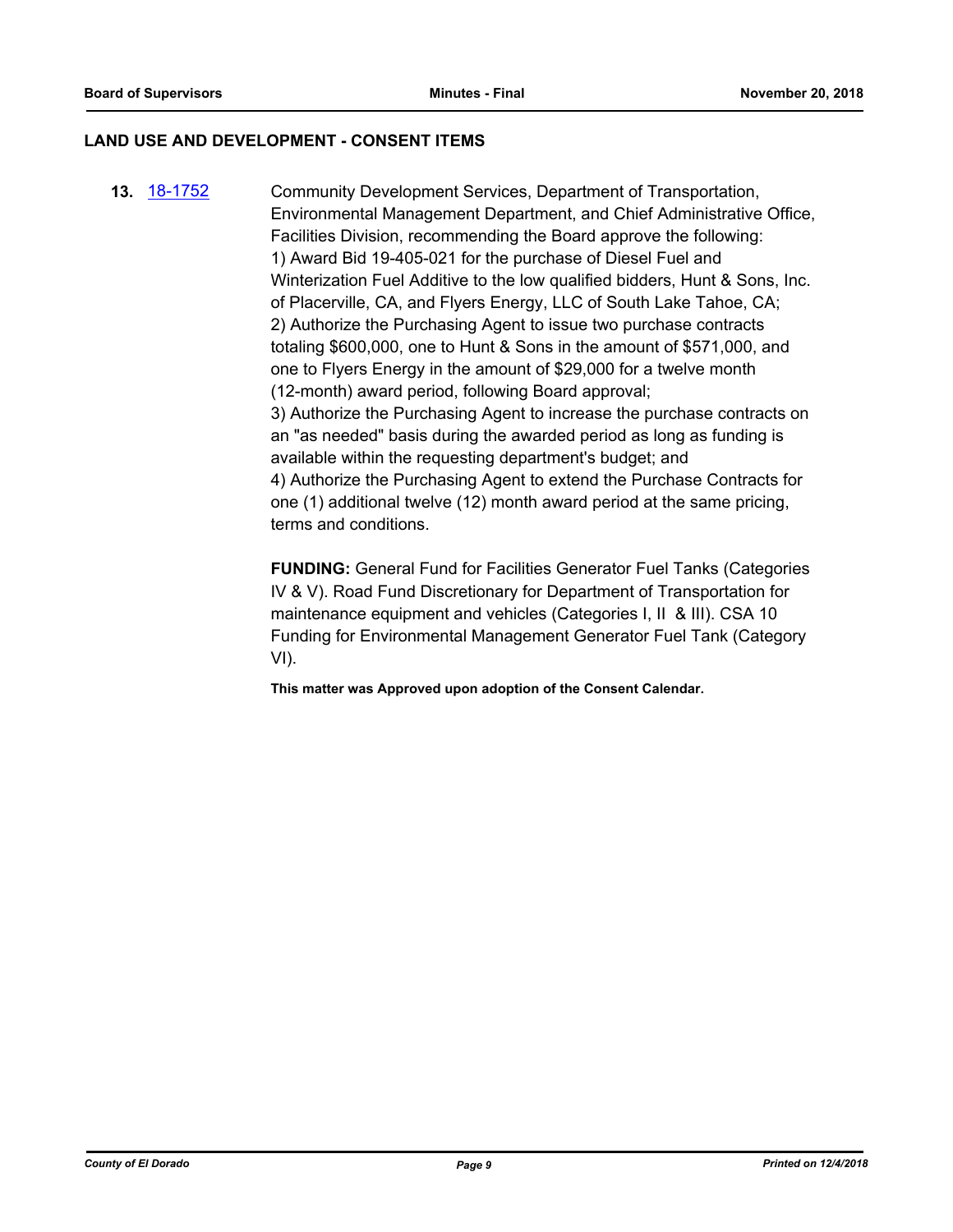#### **LAND USE AND DEVELOPMENT - CONSENT ITEMS**

**13.** [18-1752](http://eldorado.legistar.com/gateway.aspx?m=l&id=/matter.aspx?key=25103) Community Development Services, Department of Transportation, Environmental Management Department, and Chief Administrative Office, Facilities Division, recommending the Board approve the following: 1) Award Bid 19-405-021 for the purchase of Diesel Fuel and Winterization Fuel Additive to the low qualified bidders, Hunt & Sons, Inc. of Placerville, CA, and Flyers Energy, LLC of South Lake Tahoe, CA; 2) Authorize the Purchasing Agent to issue two purchase contracts totaling \$600,000, one to Hunt & Sons in the amount of \$571,000, and one to Flyers Energy in the amount of \$29,000 for a twelve month (12-month) award period, following Board approval; 3) Authorize the Purchasing Agent to increase the purchase contracts on an "as needed" basis during the awarded period as long as funding is available within the requesting department's budget; and 4) Authorize the Purchasing Agent to extend the Purchase Contracts for one (1) additional twelve (12) month award period at the same pricing, terms and conditions.

> **FUNDING:** General Fund for Facilities Generator Fuel Tanks (Categories IV & V). Road Fund Discretionary for Department of Transportation for maintenance equipment and vehicles (Categories I, II & III). CSA 10 Funding for Environmental Management Generator Fuel Tank (Category VI).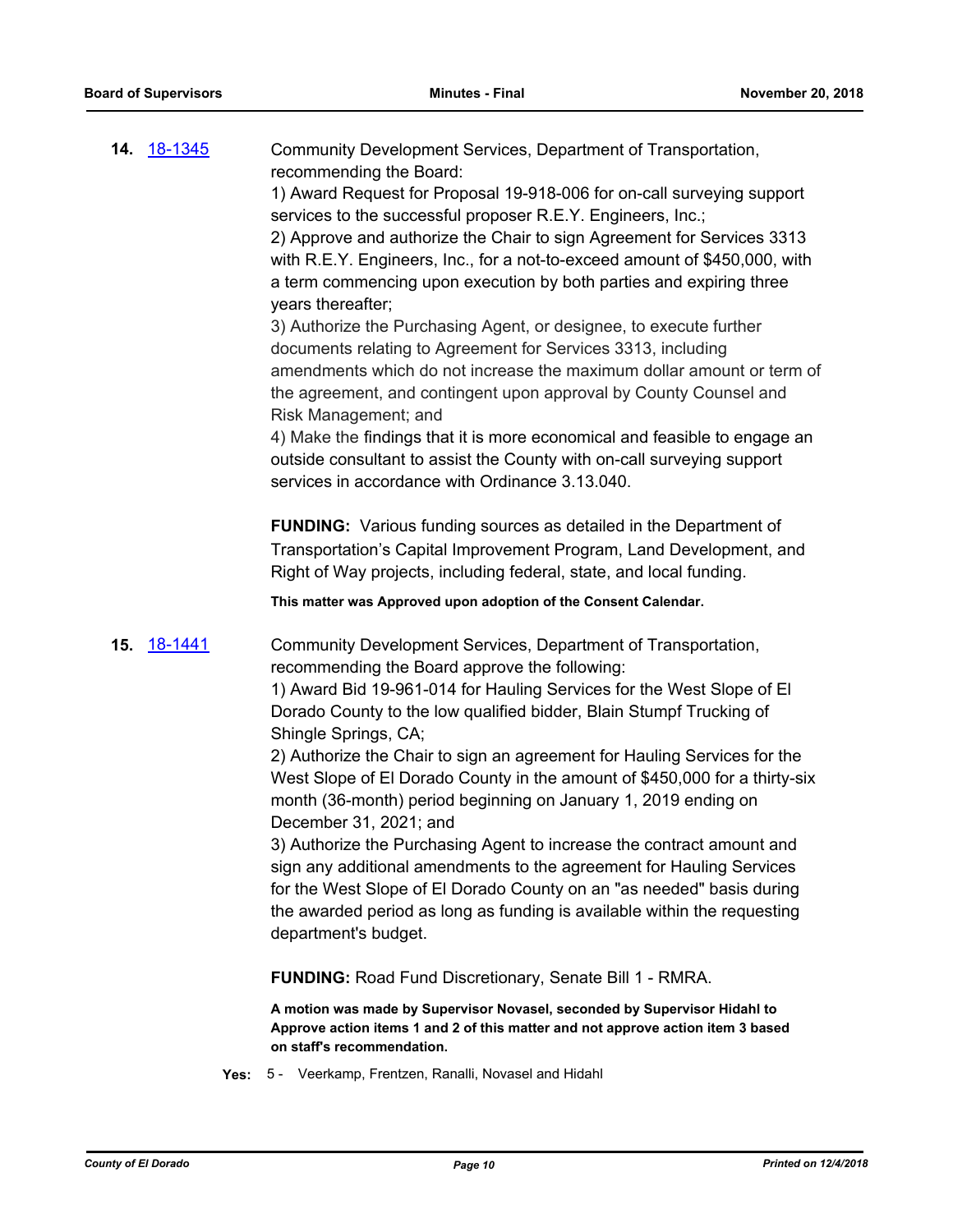| <b>14. 18-1345</b> | Community Development Services, Department of Transportation,<br>recommending the Board:<br>1) Award Request for Proposal 19-918-006 for on-call surveying support<br>services to the successful proposer R.E.Y. Engineers, Inc.;<br>2) Approve and authorize the Chair to sign Agreement for Services 3313<br>with R.E.Y. Engineers, Inc., for a not-to-exceed amount of \$450,000, with<br>a term commencing upon execution by both parties and expiring three<br>years thereafter;<br>3) Authorize the Purchasing Agent, or designee, to execute further<br>documents relating to Agreement for Services 3313, including<br>amendments which do not increase the maximum dollar amount or term of<br>the agreement, and contingent upon approval by County Counsel and<br>Risk Management; and<br>4) Make the findings that it is more economical and feasible to engage an<br>outside consultant to assist the County with on-call surveying support<br>services in accordance with Ordinance 3.13.040. |
|--------------------|-------------------------------------------------------------------------------------------------------------------------------------------------------------------------------------------------------------------------------------------------------------------------------------------------------------------------------------------------------------------------------------------------------------------------------------------------------------------------------------------------------------------------------------------------------------------------------------------------------------------------------------------------------------------------------------------------------------------------------------------------------------------------------------------------------------------------------------------------------------------------------------------------------------------------------------------------------------------------------------------------------------|
|                    | <b>FUNDING:</b> Various funding sources as detailed in the Department of<br>Transportation's Capital Improvement Program, Land Development, and<br>Right of Way projects, including federal, state, and local funding.                                                                                                                                                                                                                                                                                                                                                                                                                                                                                                                                                                                                                                                                                                                                                                                      |
|                    | This matter was Approved upon adoption of the Consent Calendar.                                                                                                                                                                                                                                                                                                                                                                                                                                                                                                                                                                                                                                                                                                                                                                                                                                                                                                                                             |
| <b>15.</b> 18-1441 | Community Development Services, Department of Transportation,<br>recommending the Board approve the following:<br>1) Award Bid 19-961-014 for Hauling Services for the West Slope of El<br>Dorado County to the low qualified bidder, Blain Stumpf Trucking of<br>Shingle Springs, CA;<br>2) Authorize the Chair to sign an agreement for Hauling Services for the<br>West Slope of El Dorado County in the amount of \$450,000 for a thirty-six<br>month (36-month) period beginning on January 1, 2019 ending on<br>December 31, 2021; and<br>3) Authorize the Purchasing Agent to increase the contract amount and<br>sign any additional amendments to the agreement for Hauling Services<br>for the West Slope of El Dorado County on an "as needed" basis during<br>the awarded period as long as funding is available within the requesting<br>department's budget.                                                                                                                                  |
|                    | <b>FUNDING: Road Fund Discretionary, Senate Bill 1 - RMRA.</b>                                                                                                                                                                                                                                                                                                                                                                                                                                                                                                                                                                                                                                                                                                                                                                                                                                                                                                                                              |
|                    | A motion was made by Supervisor Novasel, seconded by Supervisor Hidahl to<br>Approve action items 1 and 2 of this matter and not approve action item 3 based<br>on staff's recommendation.                                                                                                                                                                                                                                                                                                                                                                                                                                                                                                                                                                                                                                                                                                                                                                                                                  |
| Yes:               | 5 - Veerkamp, Frentzen, Ranalli, Novasel and Hidahl                                                                                                                                                                                                                                                                                                                                                                                                                                                                                                                                                                                                                                                                                                                                                                                                                                                                                                                                                         |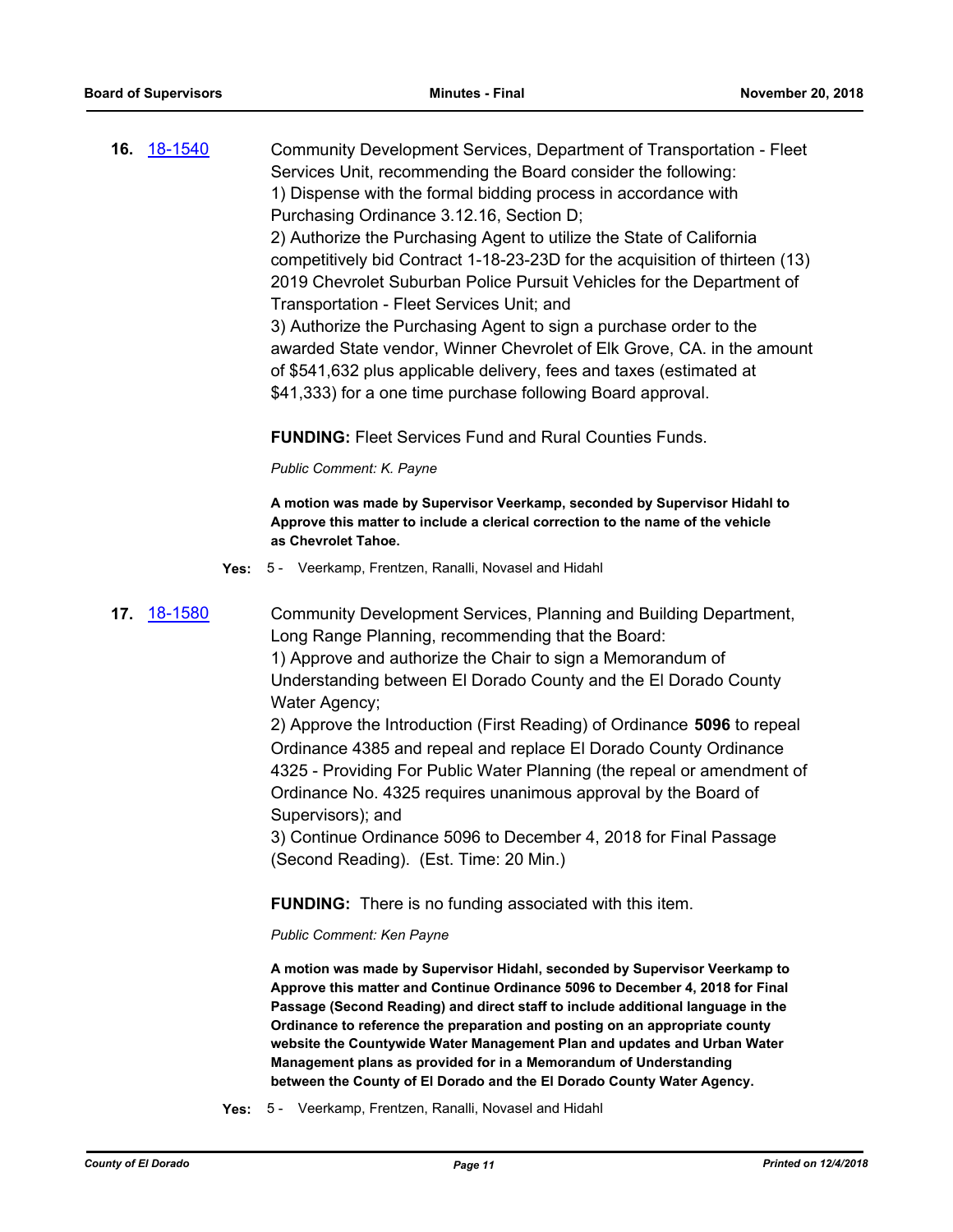**16.** [18-1540](http://eldorado.legistar.com/gateway.aspx?m=l&id=/matter.aspx?key=24891) Community Development Services, Department of Transportation - Fleet Services Unit, recommending the Board consider the following: 1) Dispense with the formal bidding process in accordance with Purchasing Ordinance 3.12.16, Section D; 2) Authorize the Purchasing Agent to utilize the State of California competitively bid Contract 1-18-23-23D for the acquisition of thirteen (13) 2019 Chevrolet Suburban Police Pursuit Vehicles for the Department of Transportation - Fleet Services Unit; and 3) Authorize the Purchasing Agent to sign a purchase order to the awarded State vendor, Winner Chevrolet of Elk Grove, CA. in the amount of \$541,632 plus applicable delivery, fees and taxes (estimated at \$41,333) for a one time purchase following Board approval.

**FUNDING:** Fleet Services Fund and Rural Counties Funds.

*Public Comment: K. Payne*

**A motion was made by Supervisor Veerkamp, seconded by Supervisor Hidahl to Approve this matter to include a clerical correction to the name of the vehicle as Chevrolet Tahoe.**

**Yes:** 5 - Veerkamp, Frentzen, Ranalli, Novasel and Hidahl

**17.** [18-1580](http://eldorado.legistar.com/gateway.aspx?m=l&id=/matter.aspx?key=24931) Community Development Services, Planning and Building Department, Long Range Planning, recommending that the Board: 1) Approve and authorize the Chair to sign a Memorandum of Understanding between El Dorado County and the El Dorado County Water Agency;

> 2) Approve the Introduction (First Reading) of Ordinance **5096** to repeal Ordinance 4385 and repeal and replace El Dorado County Ordinance 4325 - Providing For Public Water Planning (the repeal or amendment of Ordinance No. 4325 requires unanimous approval by the Board of Supervisors); and

3) Continue Ordinance 5096 to December 4, 2018 for Final Passage (Second Reading). (Est. Time: 20 Min.)

**FUNDING:** There is no funding associated with this item.

#### *Public Comment: Ken Payne*

**A motion was made by Supervisor Hidahl, seconded by Supervisor Veerkamp to Approve this matter and Continue Ordinance 5096 to December 4, 2018 for Final Passage (Second Reading) and direct staff to include additional language in the Ordinance to reference the preparation and posting on an appropriate county website the Countywide Water Management Plan and updates and Urban Water Management plans as provided for in a Memorandum of Understanding between the County of El Dorado and the El Dorado County Water Agency.**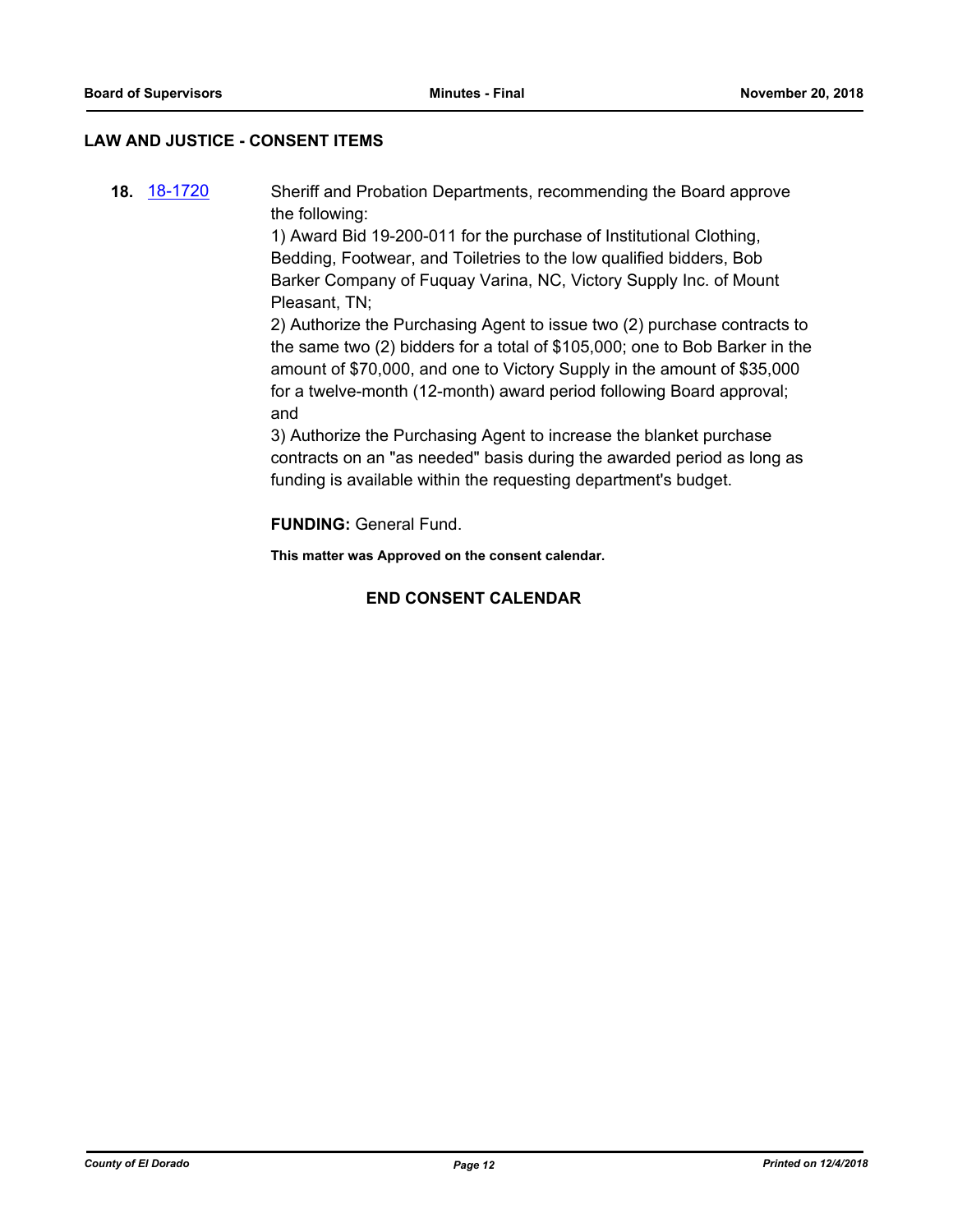### **LAW AND JUSTICE - CONSENT ITEMS**

**18.** [18-1720](http://eldorado.legistar.com/gateway.aspx?m=l&id=/matter.aspx?key=25071) Sheriff and Probation Departments, recommending the Board approve the following: 1) Award Bid 19-200-011 for the purchase of Institutional Clothing, Bedding, Footwear, and Toiletries to the low qualified bidders, Bob Barker Company of Fuquay Varina, NC, Victory Supply Inc. of Mount Pleasant, TN;

> 2) Authorize the Purchasing Agent to issue two (2) purchase contracts to the same two (2) bidders for a total of \$105,000; one to Bob Barker in the amount of \$70,000, and one to Victory Supply in the amount of \$35,000 for a twelve-month (12-month) award period following Board approval; and

3) Authorize the Purchasing Agent to increase the blanket purchase contracts on an "as needed" basis during the awarded period as long as funding is available within the requesting department's budget.

**FUNDING:** General Fund.

**This matter was Approved on the consent calendar.**

# **END CONSENT CALENDAR**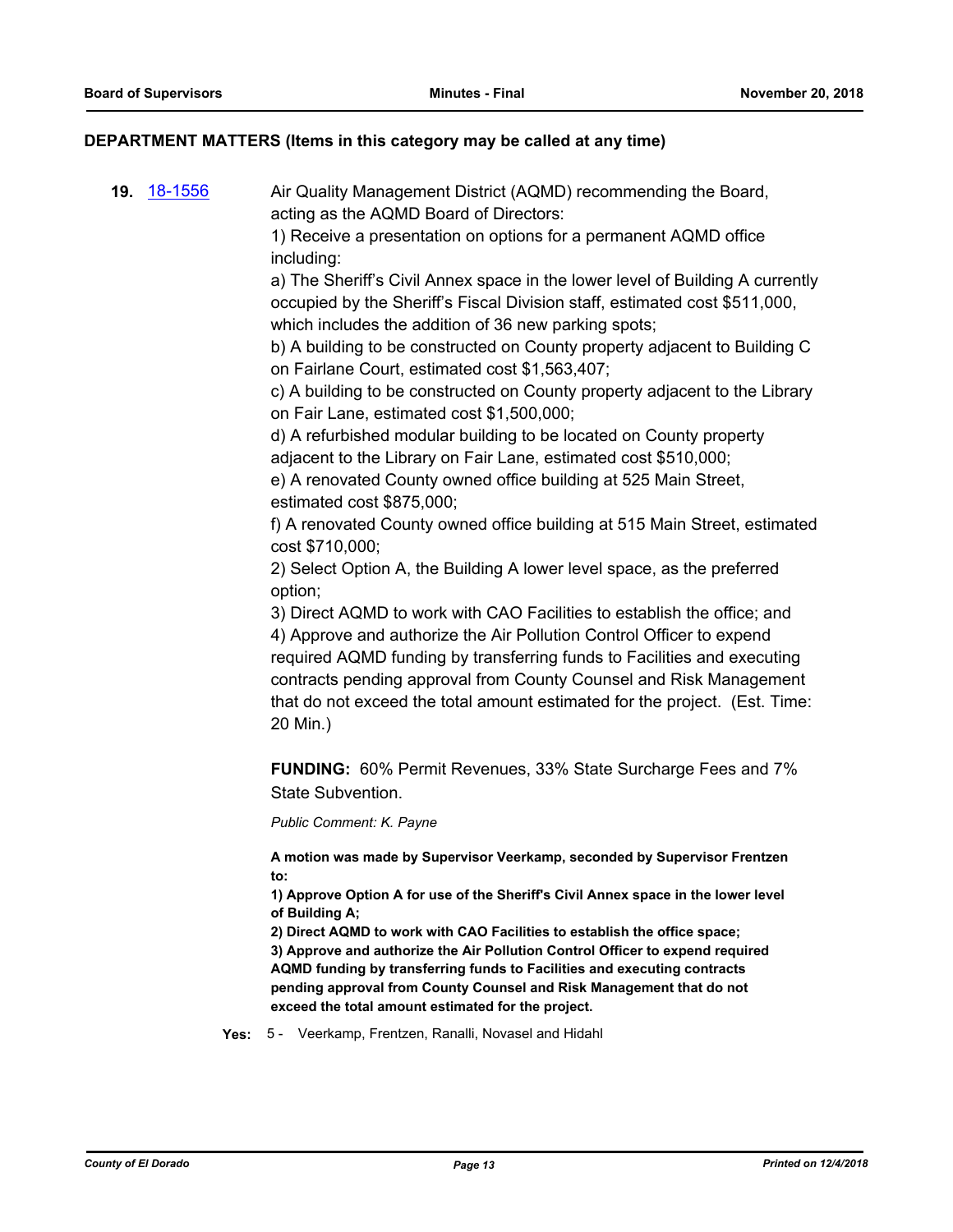### **DEPARTMENT MATTERS (Items in this category may be called at any time)**

**19.** [18-1556](http://eldorado.legistar.com/gateway.aspx?m=l&id=/matter.aspx?key=24907) Air Quality Management District (AQMD) recommending the Board, acting as the AQMD Board of Directors:

> 1) Receive a presentation on options for a permanent AQMD office including:

a) The Sheriff's Civil Annex space in the lower level of Building A currently occupied by the Sheriff's Fiscal Division staff, estimated cost \$511,000, which includes the addition of 36 new parking spots;

b) A building to be constructed on County property adjacent to Building C on Fairlane Court, estimated cost \$1,563,407;

c) A building to be constructed on County property adjacent to the Library on Fair Lane, estimated cost \$1,500,000;

d) A refurbished modular building to be located on County property adjacent to the Library on Fair Lane, estimated cost \$510,000;

e) A renovated County owned office building at 525 Main Street, estimated cost \$875,000;

f) A renovated County owned office building at 515 Main Street, estimated cost \$710,000;

2) Select Option A, the Building A lower level space, as the preferred option;

3) Direct AQMD to work with CAO Facilities to establish the office; and 4) Approve and authorize the Air Pollution Control Officer to expend required AQMD funding by transferring funds to Facilities and executing contracts pending approval from County Counsel and Risk Management that do not exceed the total amount estimated for the project. (Est. Time: 20 Min.)

**FUNDING:** 60% Permit Revenues, 33% State Surcharge Fees and 7% State Subvention.

*Public Comment: K. Payne*

**A motion was made by Supervisor Veerkamp, seconded by Supervisor Frentzen to:**

**1) Approve Option A for use of the Sheriff's Civil Annex space in the lower level of Building A;**

**2) Direct AQMD to work with CAO Facilities to establish the office space; 3) Approve and authorize the Air Pollution Control Officer to expend required AQMD funding by transferring funds to Facilities and executing contracts pending approval from County Counsel and Risk Management that do not exceed the total amount estimated for the project.**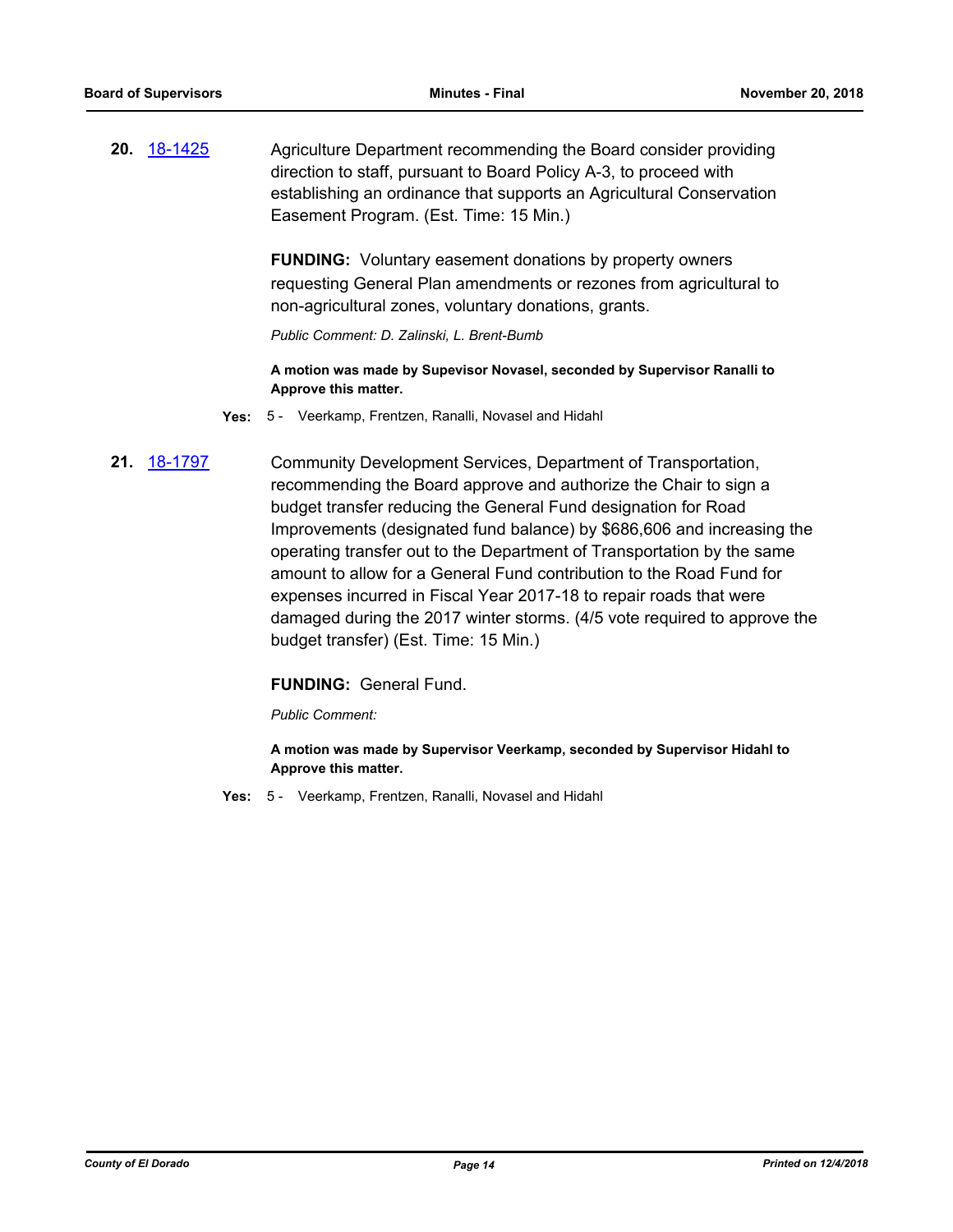**20.** [18-1425](http://eldorado.legistar.com/gateway.aspx?m=l&id=/matter.aspx?key=24777) Agriculture Department recommending the Board consider providing direction to staff, pursuant to Board Policy A-3, to proceed with establishing an ordinance that supports an Agricultural Conservation Easement Program. (Est. Time: 15 Min.)

> **FUNDING:** Voluntary easement donations by property owners requesting General Plan amendments or rezones from agricultural to non-agricultural zones, voluntary donations, grants.

*Public Comment: D. Zalinski, L. Brent-Bumb*

**A motion was made by Supevisor Novasel, seconded by Supervisor Ranalli to Approve this matter.**

- **Yes:** 5 Veerkamp, Frentzen, Ranalli, Novasel and Hidahl
- **21.** [18-1797](http://eldorado.legistar.com/gateway.aspx?m=l&id=/matter.aspx?key=25148) Community Development Services, Department of Transportation, recommending the Board approve and authorize the Chair to sign a budget transfer reducing the General Fund designation for Road Improvements (designated fund balance) by \$686,606 and increasing the operating transfer out to the Department of Transportation by the same amount to allow for a General Fund contribution to the Road Fund for expenses incurred in Fiscal Year 2017-18 to repair roads that were damaged during the 2017 winter storms. (4/5 vote required to approve the budget transfer) (Est. Time: 15 Min.)

#### **FUNDING:** General Fund.

*Public Comment:*

**A motion was made by Supervisor Veerkamp, seconded by Supervisor Hidahl to Approve this matter.**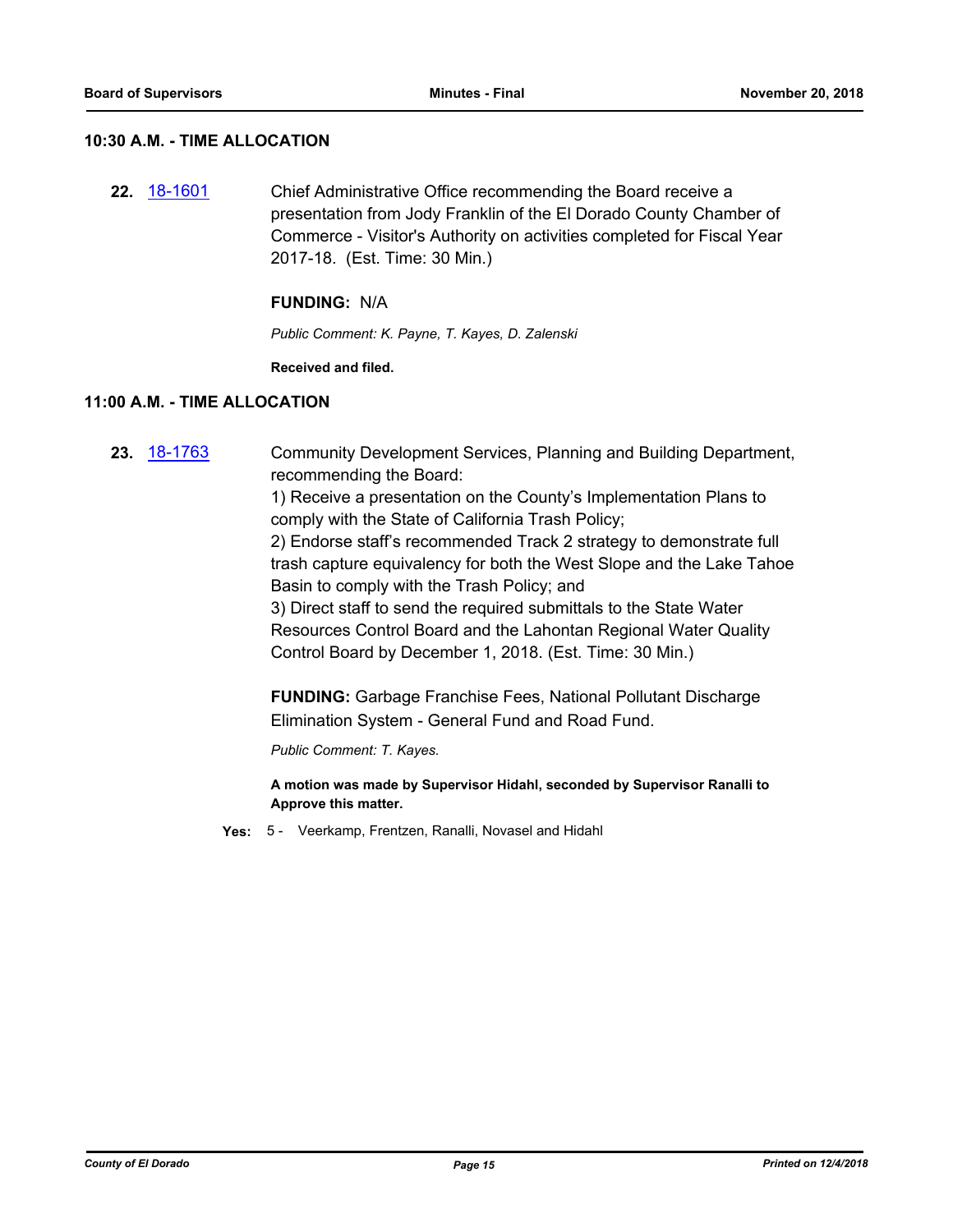#### **10:30 A.M. - TIME ALLOCATION**

**22.** [18-1601](http://eldorado.legistar.com/gateway.aspx?m=l&id=/matter.aspx?key=24952) Chief Administrative Office recommending the Board receive a presentation from Jody Franklin of the El Dorado County Chamber of Commerce - Visitor's Authority on activities completed for Fiscal Year 2017-18. (Est. Time: 30 Min.)

#### **FUNDING:** N/A

*Public Comment: K. Payne, T. Kayes, D. Zalenski*

**Received and filed.**

#### **11:00 A.M. - TIME ALLOCATION**

- **23.** [18-1763](http://eldorado.legistar.com/gateway.aspx?m=l&id=/matter.aspx?key=25114) Community Development Services, Planning and Building Department, recommending the Board: 1) Receive a presentation on the County's Implementation Plans to comply with the State of California Trash Policy; 2) Endorse staff's recommended Track 2 strategy to demonstrate full trash capture equivalency for both the West Slope and the Lake Tahoe Basin to comply with the Trash Policy; and 3) Direct staff to send the required submittals to the State Water Resources Control Board and the Lahontan Regional Water Quality Control Board by December 1, 2018. (Est. Time: 30 Min.) **FUNDING:** Garbage Franchise Fees, National Pollutant Discharge Elimination System - General Fund and Road Fund. *Public Comment: T. Kayes.* **A motion was made by Supervisor Hidahl, seconded by Supervisor Ranalli to Approve this matter.**
	- **Yes:** 5 Veerkamp, Frentzen, Ranalli, Novasel and Hidahl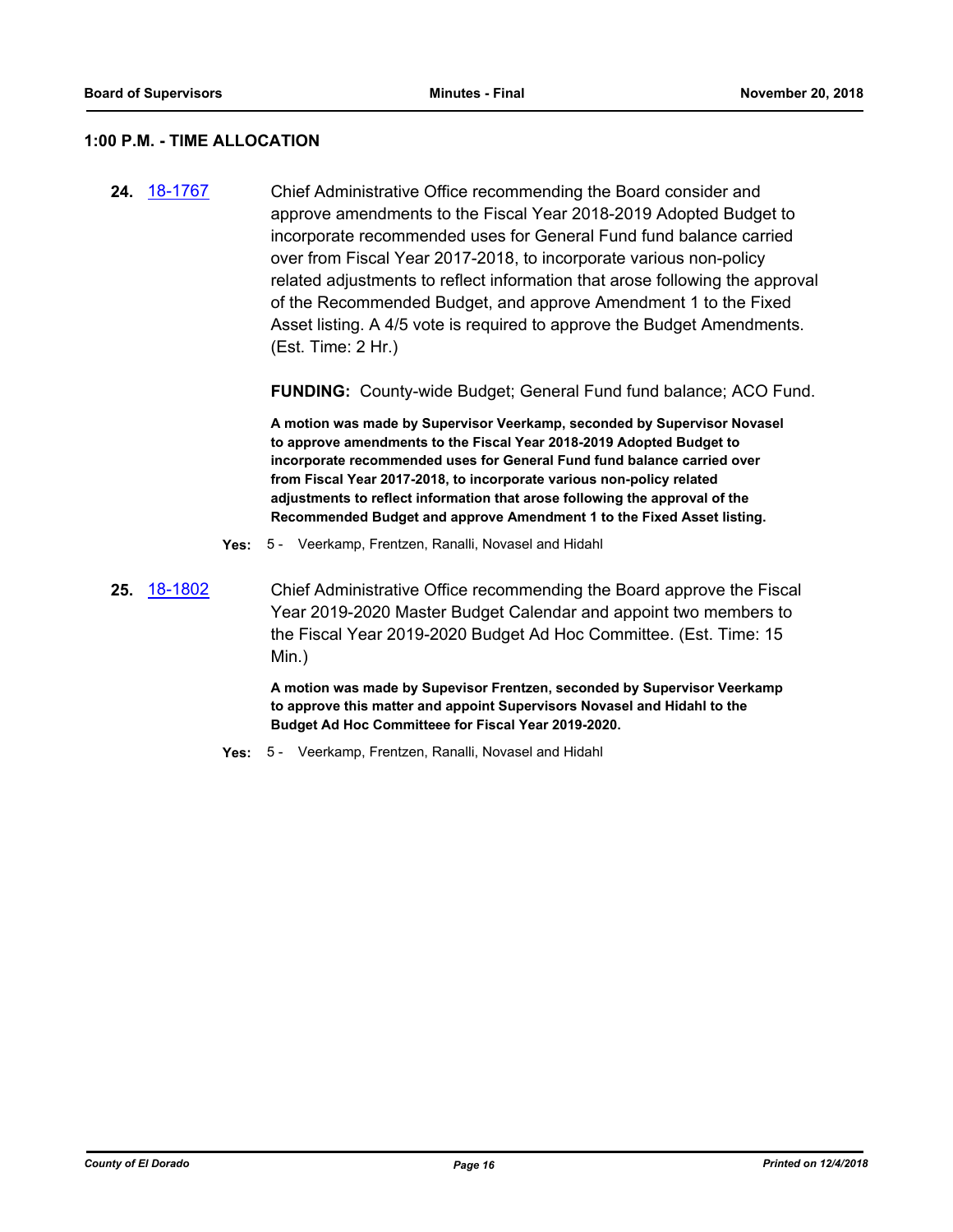#### **1:00 P.M. - TIME ALLOCATION**

**24.** [18-1767](http://eldorado.legistar.com/gateway.aspx?m=l&id=/matter.aspx?key=25118) Chief Administrative Office recommending the Board consider and approve amendments to the Fiscal Year 2018-2019 Adopted Budget to incorporate recommended uses for General Fund fund balance carried over from Fiscal Year 2017-2018, to incorporate various non-policy related adjustments to reflect information that arose following the approval of the Recommended Budget, and approve Amendment 1 to the Fixed Asset listing. A 4/5 vote is required to approve the Budget Amendments. (Est. Time: 2 Hr.)

**FUNDING:** County-wide Budget; General Fund fund balance; ACO Fund.

**A motion was made by Supervisor Veerkamp, seconded by Supervisor Novasel to approve amendments to the Fiscal Year 2018-2019 Adopted Budget to incorporate recommended uses for General Fund fund balance carried over from Fiscal Year 2017-2018, to incorporate various non-policy related adjustments to reflect information that arose following the approval of the Recommended Budget and approve Amendment 1 to the Fixed Asset listing.**

- **Yes:** 5 Veerkamp, Frentzen, Ranalli, Novasel and Hidahl
- **25.** [18-1802](http://eldorado.legistar.com/gateway.aspx?m=l&id=/matter.aspx?key=25153) Chief Administrative Office recommending the Board approve the Fiscal Year 2019-2020 Master Budget Calendar and appoint two members to the Fiscal Year 2019-2020 Budget Ad Hoc Committee. (Est. Time: 15 Min.)

**A motion was made by Supevisor Frentzen, seconded by Supervisor Veerkamp to approve this matter and appoint Supervisors Novasel and Hidahl to the Budget Ad Hoc Committeee for Fiscal Year 2019-2020.**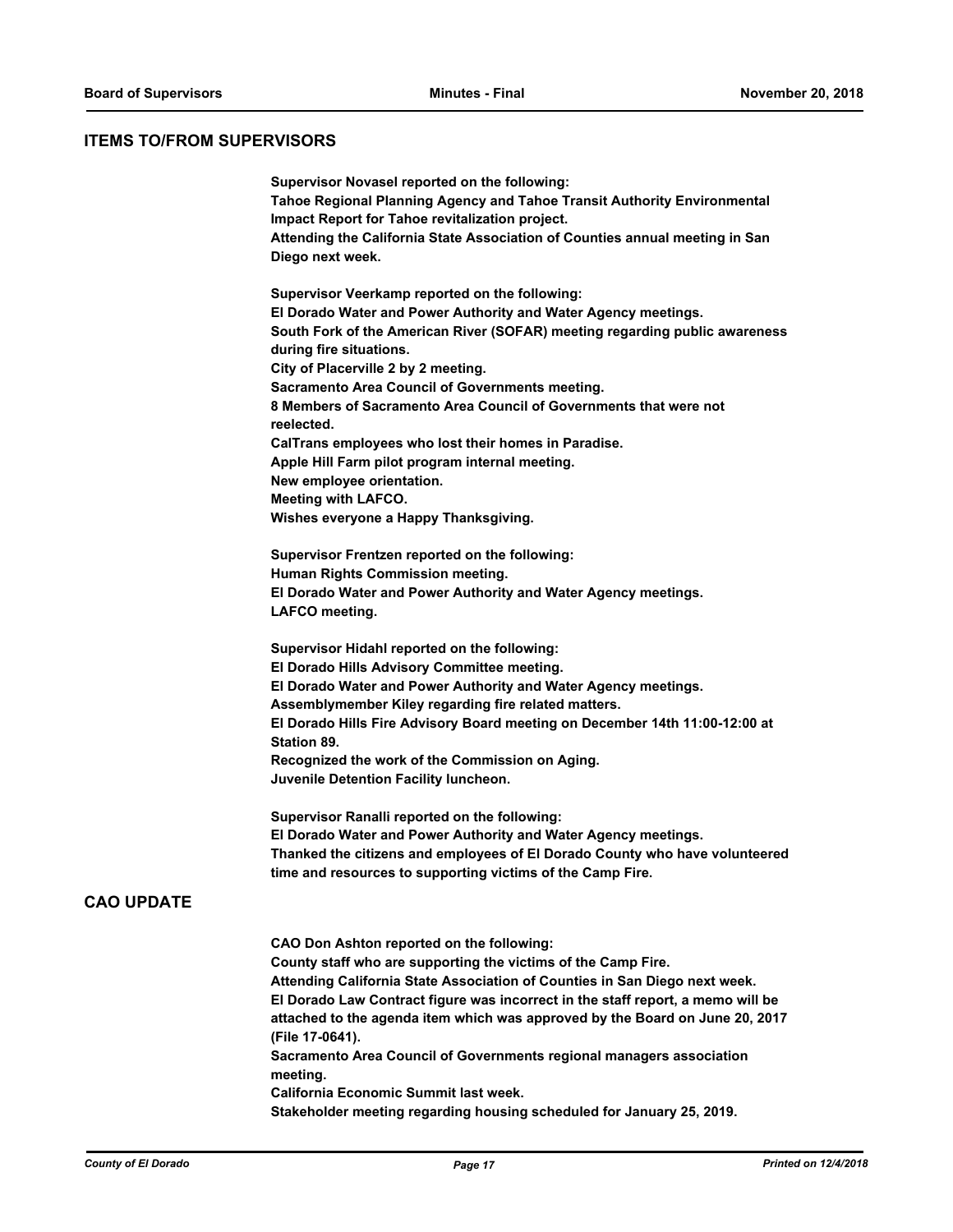# **ITEMS TO/FROM SUPERVISORS**

| Supervisor Novasel reported on the following:<br>Tahoe Regional Planning Agency and Tahoe Transit Authority Environmental<br>Impact Report for Tahoe revitalization project.<br>Attending the California State Association of Counties annual meeting in San<br>Diego next week.                                                                                                                                       |
|------------------------------------------------------------------------------------------------------------------------------------------------------------------------------------------------------------------------------------------------------------------------------------------------------------------------------------------------------------------------------------------------------------------------|
| Supervisor Veerkamp reported on the following:<br>El Dorado Water and Power Authority and Water Agency meetings.<br>South Fork of the American River (SOFAR) meeting regarding public awareness<br>during fire situations.                                                                                                                                                                                             |
| City of Placerville 2 by 2 meeting.<br>Sacramento Area Council of Governments meeting.<br>8 Members of Sacramento Area Council of Governments that were not                                                                                                                                                                                                                                                            |
| reelected.                                                                                                                                                                                                                                                                                                                                                                                                             |
| CalTrans employees who lost their homes in Paradise.<br>Apple Hill Farm pilot program internal meeting.<br>New employee orientation.                                                                                                                                                                                                                                                                                   |
| <b>Meeting with LAFCO.</b><br>Wishes everyone a Happy Thanksgiving.                                                                                                                                                                                                                                                                                                                                                    |
|                                                                                                                                                                                                                                                                                                                                                                                                                        |
| Supervisor Frentzen reported on the following:<br>Human Rights Commission meeting.                                                                                                                                                                                                                                                                                                                                     |
| El Dorado Water and Power Authority and Water Agency meetings.<br>LAFCO meeting.                                                                                                                                                                                                                                                                                                                                       |
| Supervisor Hidahl reported on the following:<br>El Dorado Hills Advisory Committee meeting.<br>El Dorado Water and Power Authority and Water Agency meetings.<br>Assemblymember Kiley regarding fire related matters.<br>El Dorado Hills Fire Advisory Board meeting on December 14th 11:00-12:00 at<br><b>Station 89.</b><br>Recognized the work of the Commission on Aging.<br>Juvenile Detention Facility luncheon. |
|                                                                                                                                                                                                                                                                                                                                                                                                                        |
| Supervisor Ranalli reported on the following:<br>El Dorado Water and Power Authority and Water Agency meetings.<br>Thanked the citizens and employees of El Dorado County who have volunteered<br>time and resources to supporting victims of the Camp Fire.                                                                                                                                                           |
| <b>CAO Don Ashton reported on the following:</b>                                                                                                                                                                                                                                                                                                                                                                       |
| County staff who are supporting the victims of the Camp Fire.<br>Attending California State Association of Counties in San Diego next week.                                                                                                                                                                                                                                                                            |
| El Dorado Law Contract figure was incorrect in the staff report, a memo will be<br>attached to the agenda item which was approved by the Board on June 20, 2017<br>(File 17-0641).                                                                                                                                                                                                                                     |
| Sacramento Area Council of Governments regional managers association<br>meeting.                                                                                                                                                                                                                                                                                                                                       |
| California Economic Summit last week.<br>Stakeholder meeting regarding housing scheduled for January 25, 2019.                                                                                                                                                                                                                                                                                                         |
|                                                                                                                                                                                                                                                                                                                                                                                                                        |

**CAO UPDATE**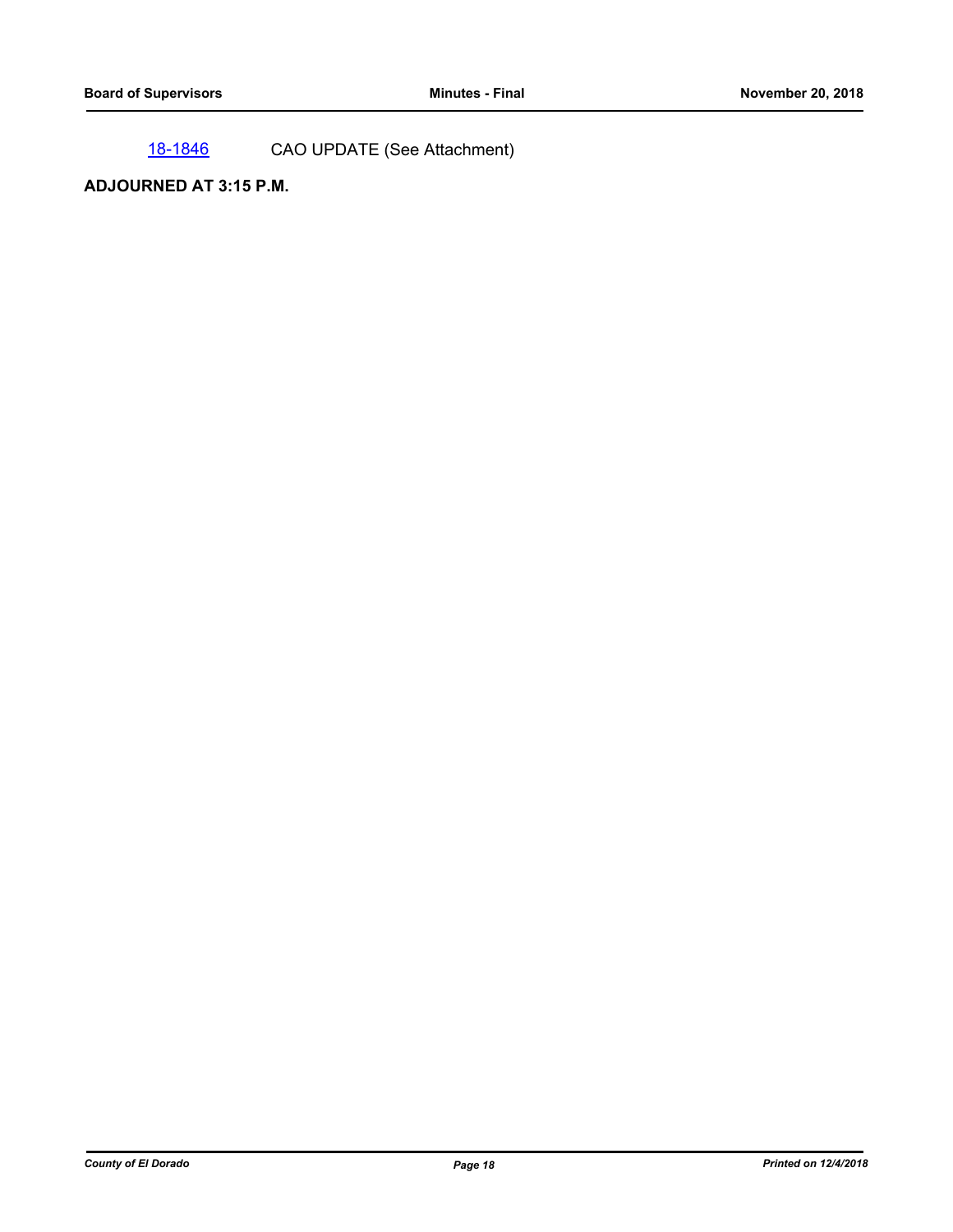[18-1846](http://eldorado.legistar.com/gateway.aspx?m=l&id=/matter.aspx?key=25196) CAO UPDATE (See Attachment)

# **ADJOURNED AT 3:15 P.M.**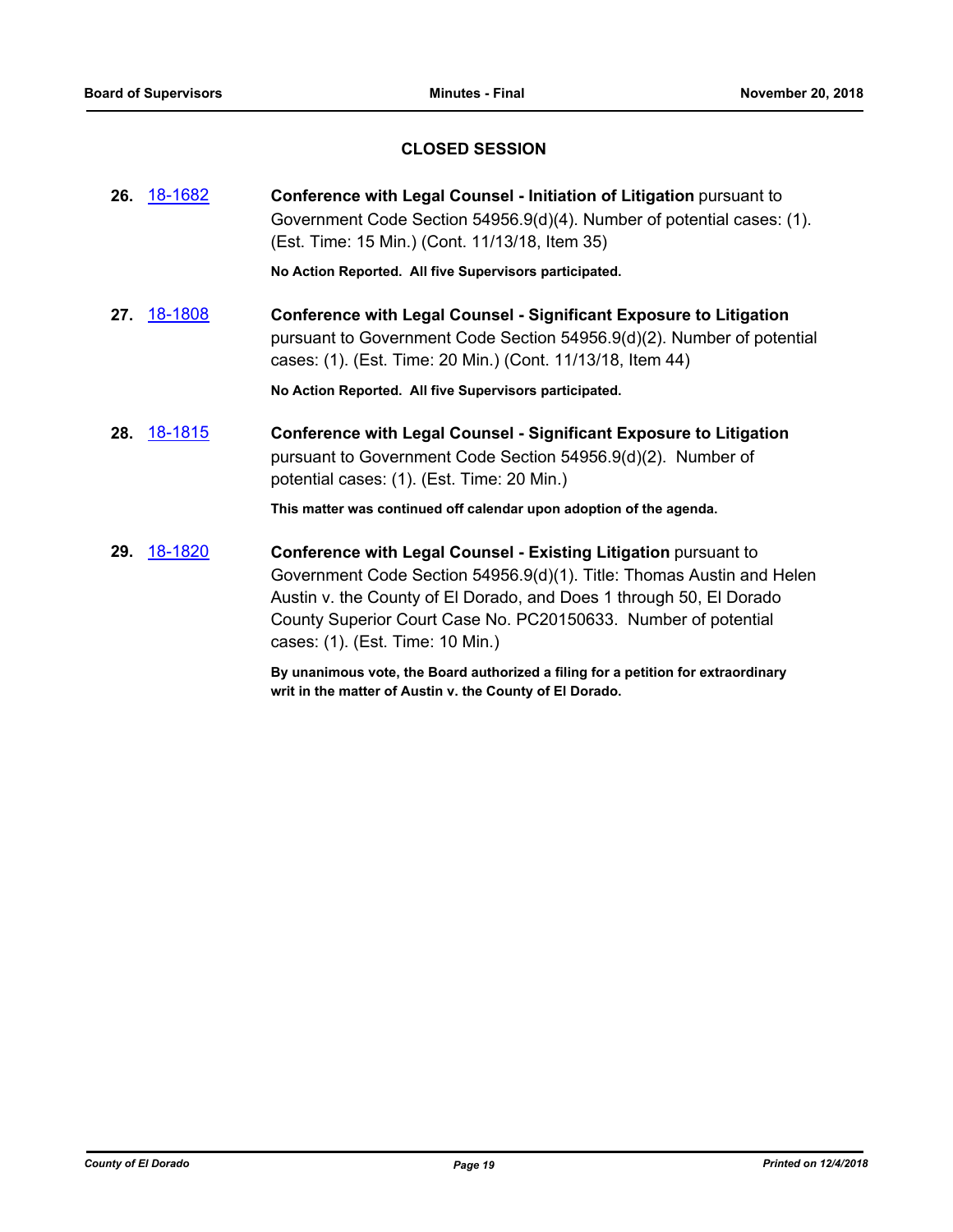# **CLOSED SESSION**

|     | <b>26.</b> 18-1682 | Conference with Legal Counsel - Initiation of Litigation pursuant to<br>Government Code Section 54956.9(d)(4). Number of potential cases: (1).<br>(Est. Time: 15 Min.) (Cont. 11/13/18, Item 35)                                                                                                                      |
|-----|--------------------|-----------------------------------------------------------------------------------------------------------------------------------------------------------------------------------------------------------------------------------------------------------------------------------------------------------------------|
|     |                    | No Action Reported. All five Supervisors participated.                                                                                                                                                                                                                                                                |
| 27. | 18-1808            | <b>Conference with Legal Counsel - Significant Exposure to Litigation</b><br>pursuant to Government Code Section 54956.9(d)(2). Number of potential<br>cases: (1). (Est. Time: 20 Min.) (Cont. 11/13/18, Item 44)                                                                                                     |
|     |                    | No Action Reported. All five Supervisors participated.                                                                                                                                                                                                                                                                |
|     | <b>28.</b> 18-1815 | <b>Conference with Legal Counsel - Significant Exposure to Litigation</b><br>pursuant to Government Code Section 54956.9(d)(2). Number of<br>potential cases: (1). (Est. Time: 20 Min.)                                                                                                                               |
|     |                    | This matter was continued off calendar upon adoption of the agenda.                                                                                                                                                                                                                                                   |
| 29. | 18-1820            | Conference with Legal Counsel - Existing Litigation pursuant to<br>Government Code Section 54956.9(d)(1). Title: Thomas Austin and Helen<br>Austin v. the County of El Dorado, and Does 1 through 50, El Dorado<br>County Superior Court Case No. PC20150633. Number of potential<br>cases: (1). (Est. Time: 10 Min.) |

**By unanimous vote, the Board authorized a filing for a petition for extraordinary writ in the matter of Austin v. the County of El Dorado.**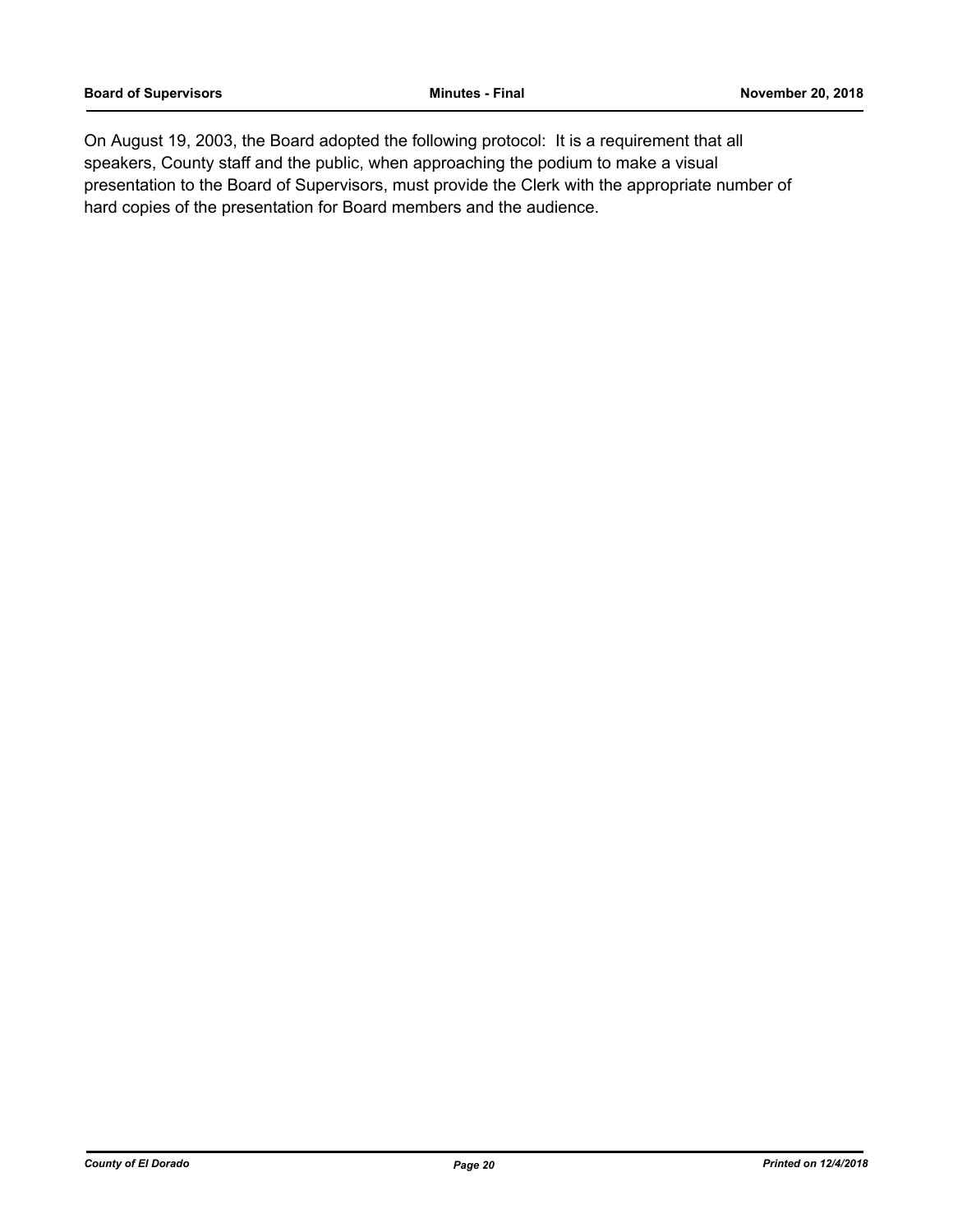On August 19, 2003, the Board adopted the following protocol: It is a requirement that all speakers, County staff and the public, when approaching the podium to make a visual presentation to the Board of Supervisors, must provide the Clerk with the appropriate number of hard copies of the presentation for Board members and the audience.